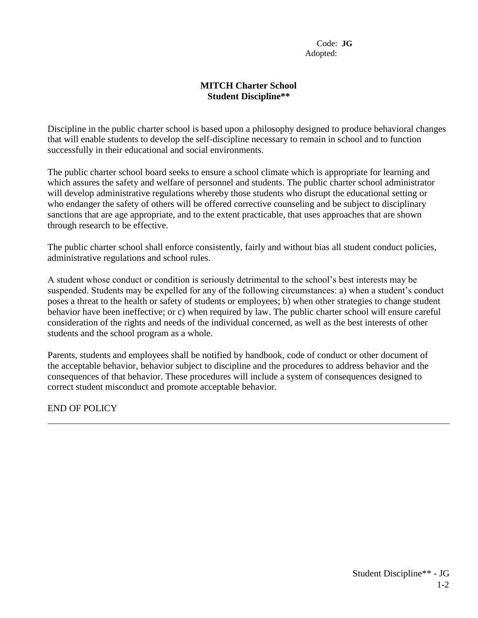Code: **JG** Adopted:

## **MITCH Charter School Student Discipline\*\***

Discipline in the public charter school is based upon a philosophy designed to produce behavioral changes that will enable students to develop the self-discipline necessary to remain in school and to function successfully in their educational and social environments.

The public charter school board seeks to ensure a school climate which is appropriate for learning and which assures the safety and welfare of personnel and students. The public charter school administrator will develop administrative regulations whereby those students who disrupt the educational setting or who endanger the safety of others will be offered corrective counseling and be subject to disciplinary sanctions that are age appropriate, and to the extent practicable, that uses approaches that are shown through research to be effective.

The public charter school shall enforce consistently, fairly and without bias all student conduct policies, administrative regulations and school rules.

A student whose conduct or condition is seriously detrimental to the school's best interests may be suspended. Students may be expelled for any of the following circumstances: a) when a student's conduct poses a threat to the health or safety of students or employees; b) when other strategies to change student behavior have been ineffective; or c) when required by law. The public charter school will ensure careful consideration of the rights and needs of the individual concerned, as well as the best interests of other students and the school program as a whole.

Parents, students and employees shall be notified by handbook, code of conduct or other document of the acceptable behavior, behavior subject to discipline and the procedures to address behavior and the consequences of that behavior. These procedures will include a system of consequences designed to correct student misconduct and promote acceptable behavior.

END OF POLICY